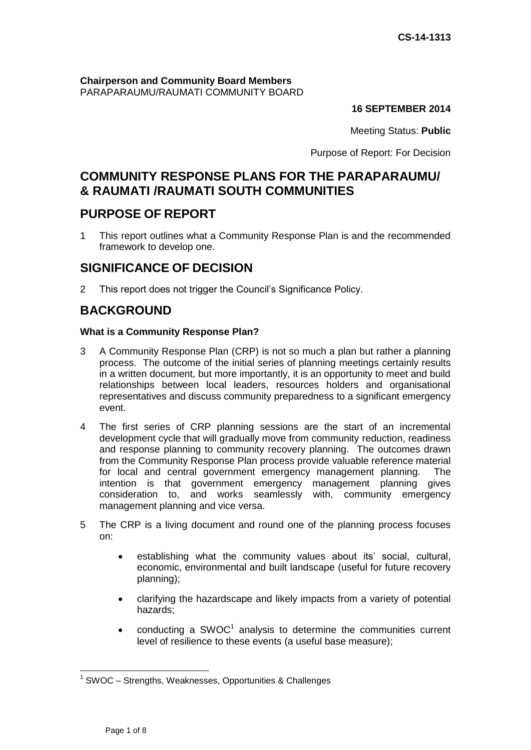#### **Chairperson and Community Board Members** PARAPARAUMU/RAUMATI COMMUNITY BOARD

## **16 SEPTEMBER 2014**

Meeting Status: **Public**

Purpose of Report: For Decision

# **COMMUNITY RESPONSE PLANS FOR THE PARAPARAUMU/ & RAUMATI /RAUMATI SOUTH COMMUNITIES**

# **PURPOSE OF REPORT**

1 This report outlines what a Community Response Plan is and the recommended framework to develop one.

# **SIGNIFICANCE OF DECISION**

2 This report does not trigger the Council's Significance Policy.

# **BACKGROUND**

### **What is a Community Response Plan?**

- 3 A Community Response Plan (CRP) is not so much a plan but rather a planning process. The outcome of the initial series of planning meetings certainly results in a written document, but more importantly, it is an opportunity to meet and build relationships between local leaders, resources holders and organisational representatives and discuss community preparedness to a significant emergency event.
- 4 The first series of CRP planning sessions are the start of an incremental development cycle that will gradually move from community reduction, readiness and response planning to community recovery planning. The outcomes drawn from the Community Response Plan process provide valuable reference material for local and central government emergency management planning. The intention is that government emergency management planning gives consideration to, and works seamlessly with, community emergency management planning and vice versa.
- 5 The CRP is a living document and round one of the planning process focuses on:
	- establishing what the community values about its' social, cultural, economic, environmental and built landscape (useful for future recovery planning);
	- clarifying the hazardscape and likely impacts from a variety of potential hazards;
	- conducting a SWOC<sup>1</sup> analysis to determine the communities current level of resilience to these events (a useful base measure);

 $\overline{a}$ 

<sup>&</sup>lt;sup>1</sup> SWOC - Strengths, Weaknesses, Opportunities & Challenges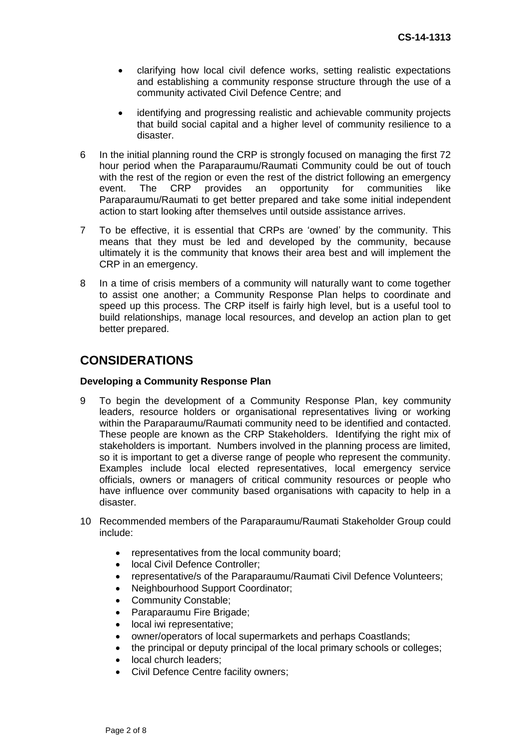- clarifying how local civil defence works, setting realistic expectations and establishing a community response structure through the use of a community activated Civil Defence Centre; and
- identifying and progressing realistic and achievable community projects that build social capital and a higher level of community resilience to a disaster.
- 6 In the initial planning round the CRP is strongly focused on managing the first 72 hour period when the Paraparaumu/Raumati Community could be out of touch with the rest of the region or even the rest of the district following an emergency event. The CRP provides an opportunity for communities like Paraparaumu/Raumati to get better prepared and take some initial independent action to start looking after themselves until outside assistance arrives.
- 7 To be effective, it is essential that CRPs are 'owned' by the community. This means that they must be led and developed by the community, because ultimately it is the community that knows their area best and will implement the CRP in an emergency.
- 8 In a time of crisis members of a community will naturally want to come together to assist one another; a Community Response Plan helps to coordinate and speed up this process. The CRP itself is fairly high level, but is a useful tool to build relationships, manage local resources, and develop an action plan to get better prepared.

# **CONSIDERATIONS**

### **Developing a Community Response Plan**

- 9 To begin the development of a Community Response Plan, key community leaders, resource holders or organisational representatives living or working within the Paraparaumu/Raumati community need to be identified and contacted. These people are known as the CRP Stakeholders. Identifying the right mix of stakeholders is important. Numbers involved in the planning process are limited, so it is important to get a diverse range of people who represent the community. Examples include local elected representatives, local emergency service officials, owners or managers of critical community resources or people who have influence over community based organisations with capacity to help in a disaster.
- 10 Recommended members of the Paraparaumu/Raumati Stakeholder Group could include:
	- representatives from the local community board;
	- local Civil Defence Controller;
	- representative/s of the Paraparaumu/Raumati Civil Defence Volunteers;
	- Neighbourhood Support Coordinator;
	- Community Constable;
	- Paraparaumu Fire Brigade;
	- local iwi representative;
	- owner/operators of local supermarkets and perhaps Coastlands;
	- the principal or deputy principal of the local primary schools or colleges;
	- local church leaders;
	- Civil Defence Centre facility owners;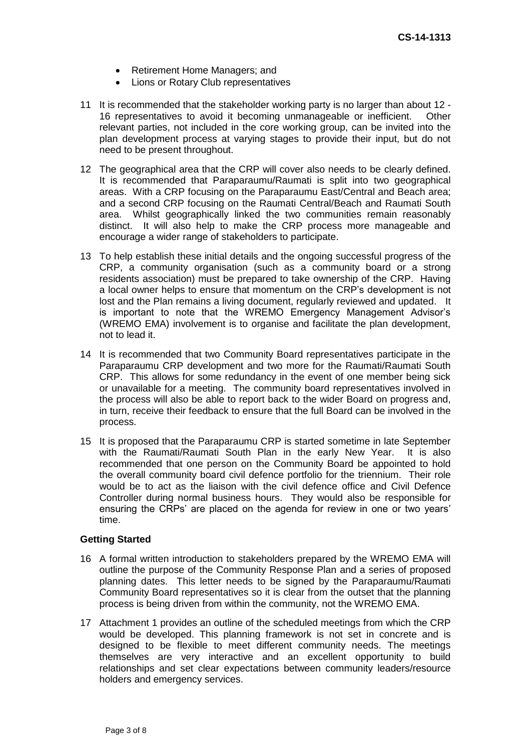- Retirement Home Managers; and
- Lions or Rotary Club representatives
- 11 It is recommended that the stakeholder working party is no larger than about 12 16 representatives to avoid it becoming unmanageable or inefficient. Other relevant parties, not included in the core working group, can be invited into the plan development process at varying stages to provide their input, but do not need to be present throughout.
- 12 The geographical area that the CRP will cover also needs to be clearly defined. It is recommended that Paraparaumu/Raumati is split into two geographical areas. With a CRP focusing on the Paraparaumu East/Central and Beach area; and a second CRP focusing on the Raumati Central/Beach and Raumati South area. Whilst geographically linked the two communities remain reasonably distinct. It will also help to make the CRP process more manageable and encourage a wider range of stakeholders to participate.
- 13 To help establish these initial details and the ongoing successful progress of the CRP, a community organisation (such as a community board or a strong residents association) must be prepared to take ownership of the CRP. Having a local owner helps to ensure that momentum on the CRP's development is not lost and the Plan remains a living document, regularly reviewed and updated. It is important to note that the WREMO Emergency Management Advisor's (WREMO EMA) involvement is to organise and facilitate the plan development, not to lead it.
- 14 It is recommended that two Community Board representatives participate in the Paraparaumu CRP development and two more for the Raumati/Raumati South CRP. This allows for some redundancy in the event of one member being sick or unavailable for a meeting. The community board representatives involved in the process will also be able to report back to the wider Board on progress and, in turn, receive their feedback to ensure that the full Board can be involved in the process.
- 15 It is proposed that the Paraparaumu CRP is started sometime in late September with the Raumati/Raumati South Plan in the early New Year. It is also recommended that one person on the Community Board be appointed to hold the overall community board civil defence portfolio for the triennium. Their role would be to act as the liaison with the civil defence office and Civil Defence Controller during normal business hours. They would also be responsible for ensuring the CRPs' are placed on the agenda for review in one or two years' time.

#### **Getting Started**

- 16 A formal written introduction to stakeholders prepared by the WREMO EMA will outline the purpose of the Community Response Plan and a series of proposed planning dates. This letter needs to be signed by the Paraparaumu/Raumati Community Board representatives so it is clear from the outset that the planning process is being driven from within the community, not the WREMO EMA.
- 17 Attachment 1 provides an outline of the scheduled meetings from which the CRP would be developed. This planning framework is not set in concrete and is designed to be flexible to meet different community needs. The meetings themselves are very interactive and an excellent opportunity to build relationships and set clear expectations between community leaders/resource holders and emergency services.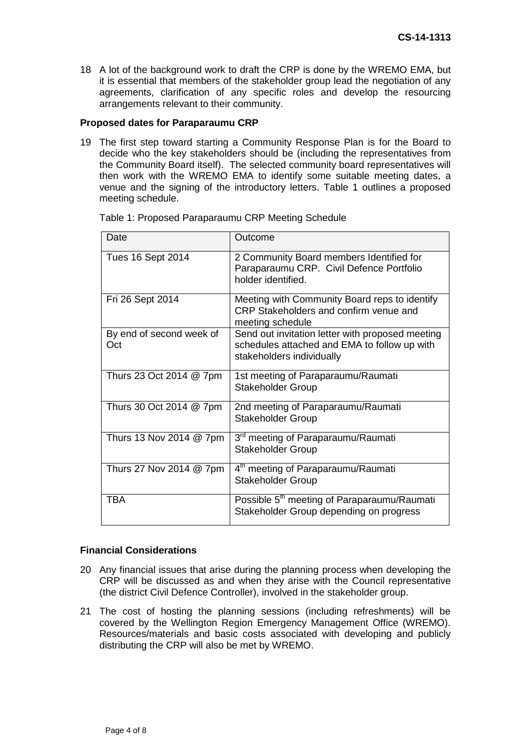18 A lot of the background work to draft the CRP is done by the WREMO EMA, but it is essential that members of the stakeholder group lead the negotiation of any agreements, clarification of any specific roles and develop the resourcing arrangements relevant to their community.

#### **Proposed dates for Paraparaumu CRP**

19 The first step toward starting a Community Response Plan is for the Board to decide who the key stakeholders should be (including the representatives from the Community Board itself). The selected community board representatives will then work with the WREMO EMA to identify some suitable meeting dates, a venue and the signing of the introductory letters. Table 1 outlines a proposed meeting schedule.

| Date                            | Outcome                                                                                                                       |
|---------------------------------|-------------------------------------------------------------------------------------------------------------------------------|
| <b>Tues 16 Sept 2014</b>        | 2 Community Board members Identified for<br>Paraparaumu CRP. Civil Defence Portfolio<br>holder identified.                    |
| Fri 26 Sept 2014                | Meeting with Community Board reps to identify<br>CRP Stakeholders and confirm venue and<br>meeting schedule                   |
| By end of second week of<br>Oct | Send out invitation letter with proposed meeting<br>schedules attached and EMA to follow up with<br>stakeholders individually |
| Thurs 23 Oct 2014 @ 7pm         | 1st meeting of Paraparaumu/Raumati<br><b>Stakeholder Group</b>                                                                |
| Thurs 30 Oct 2014 @ 7pm         | 2nd meeting of Paraparaumu/Raumati<br><b>Stakeholder Group</b>                                                                |
| Thurs 13 Nov 2014 @ 7pm         | 3 <sup>rd</sup> meeting of Paraparaumu/Raumati<br><b>Stakeholder Group</b>                                                    |
| Thurs 27 Nov 2014 @ 7pm         | 4 <sup>th</sup> meeting of Paraparaumu/Raumati<br><b>Stakeholder Group</b>                                                    |
| <b>TBA</b>                      | Possible 5 <sup>th</sup> meeting of Paraparaumu/Raumati<br>Stakeholder Group depending on progress                            |

Table 1: Proposed Paraparaumu CRP Meeting Schedule

## **Financial Considerations**

- 20 Any financial issues that arise during the planning process when developing the CRP will be discussed as and when they arise with the Council representative (the district Civil Defence Controller), involved in the stakeholder group.
- 21 The cost of hosting the planning sessions (including refreshments) will be covered by the Wellington Region Emergency Management Office (WREMO). Resources/materials and basic costs associated with developing and publicly distributing the CRP will also be met by WREMO.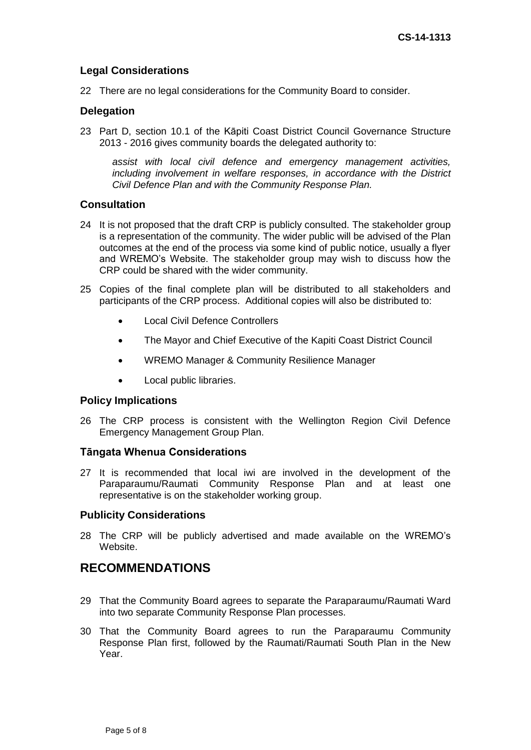## **Legal Considerations**

22 There are no legal considerations for the Community Board to consider.

## **Delegation**

23 Part D, section 10.1 of the Kāpiti Coast District Council Governance Structure 2013 - 2016 gives community boards the delegated authority to:

*assist with local civil defence and emergency management activities, including involvement in welfare responses, in accordance with the District Civil Defence Plan and with the Community Response Plan.*

### **Consultation**

- 24 It is not proposed that the draft CRP is publicly consulted. The stakeholder group is a representation of the community. The wider public will be advised of the Plan outcomes at the end of the process via some kind of public notice, usually a flyer and WREMO's Website. The stakeholder group may wish to discuss how the CRP could be shared with the wider community.
- 25 Copies of the final complete plan will be distributed to all stakeholders and participants of the CRP process. Additional copies will also be distributed to:
	- Local Civil Defence Controllers
	- The Mayor and Chief Executive of the Kapiti Coast District Council
	- WREMO Manager & Community Resilience Manager
	- Local public libraries.

### **Policy Implications**

26 The CRP process is consistent with the Wellington Region Civil Defence Emergency Management Group Plan.

### **Tāngata Whenua Considerations**

27 It is recommended that local iwi are involved in the development of the Paraparaumu/Raumati Community Response Plan and at least one representative is on the stakeholder working group.

### **Publicity Considerations**

28 The CRP will be publicly advertised and made available on the WREMO's Website.

## **RECOMMENDATIONS**

- 29 That the Community Board agrees to separate the Paraparaumu/Raumati Ward into two separate Community Response Plan processes.
- 30 That the Community Board agrees to run the Paraparaumu Community Response Plan first, followed by the Raumati/Raumati South Plan in the New Year.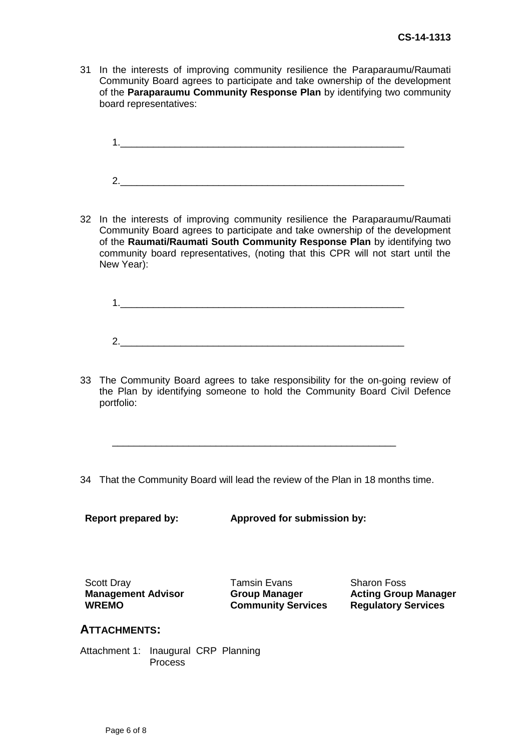31 In the interests of improving community resilience the Paraparaumu/Raumati Community Board agrees to participate and take ownership of the development of the **Paraparaumu Community Response Plan** by identifying two community board representatives:

 $1.$ 2.\_\_\_\_\_\_\_\_\_\_\_\_\_\_\_\_\_\_\_\_\_\_\_\_\_\_\_\_\_\_\_\_\_\_\_\_\_\_\_\_\_\_\_\_\_\_\_\_\_\_\_\_

32 In the interests of improving community resilience the Paraparaumu/Raumati Community Board agrees to participate and take ownership of the development of the **Raumati/Raumati South Community Response Plan** by identifying two community board representatives, (noting that this CPR will not start until the New Year):

1.\_\_\_\_\_\_\_\_\_\_\_\_\_\_\_\_\_\_\_\_\_\_\_\_\_\_\_\_\_\_\_\_\_\_\_\_\_\_\_\_\_\_\_\_\_\_\_\_\_\_\_\_ 2.\_\_\_\_\_\_\_\_\_\_\_\_\_\_\_\_\_\_\_\_\_\_\_\_\_\_\_\_\_\_\_\_\_\_\_\_\_\_\_\_\_\_\_\_\_\_\_\_\_\_\_\_

33 The Community Board agrees to take responsibility for the on-going review of the Plan by identifying someone to hold the Community Board Civil Defence portfolio:

34 That the Community Board will lead the review of the Plan in 18 months time.

\_\_\_\_\_\_\_\_\_\_\_\_\_\_\_\_\_\_\_\_\_\_\_\_\_\_\_\_\_\_\_\_\_\_\_\_\_\_\_\_\_\_\_\_\_\_\_\_\_\_\_\_

**Report prepared by: Approved for submission by:** 

Scott Dray **Tamsin Evans** Sharon Foss Sharon Foss **Management Advisor WREMO**

**Group Manager Community Services** **Acting Group Manager Regulatory Services**

## **ATTACHMENTS:**

Attachment 1: Inaugural CRP Planning Process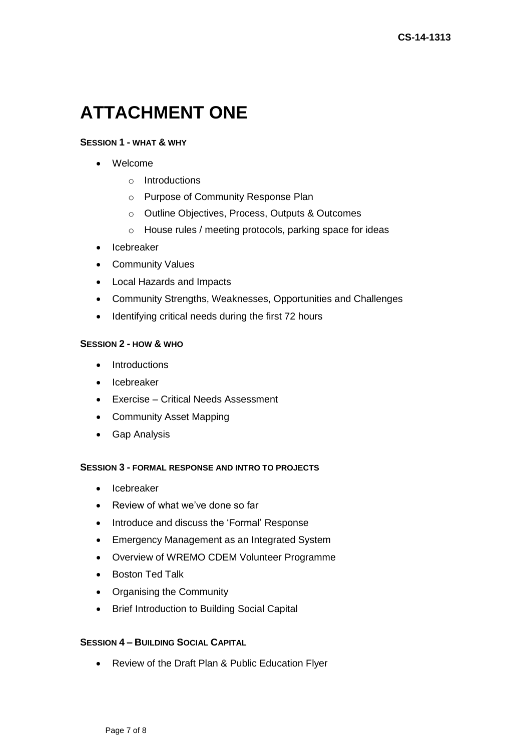# **ATTACHMENT ONE**

#### **SESSION 1 - WHAT & WHY**

- Welcome
	- o Introductions
	- o Purpose of Community Response Plan
	- o Outline Objectives, Process, Outputs & Outcomes
	- o House rules / meeting protocols, parking space for ideas
- Icebreaker
- Community Values
- Local Hazards and Impacts
- Community Strengths, Weaknesses, Opportunities and Challenges
- Identifying critical needs during the first 72 hours

### **SESSION 2 - HOW & WHO**

- Introductions
- Icebreaker
- Exercise Critical Needs Assessment
- Community Asset Mapping
- Gap Analysis

#### **SESSION 3 - FORMAL RESPONSE AND INTRO TO PROJECTS**

- Icebreaker
- Review of what we've done so far
- Introduce and discuss the 'Formal' Response
- Emergency Management as an Integrated System
- Overview of WREMO CDEM Volunteer Programme
- Boston Ted Talk
- Organising the Community
- Brief Introduction to Building Social Capital

### **SESSION 4 – BUILDING SOCIAL CAPITAL**

Review of the Draft Plan & Public Education Flyer